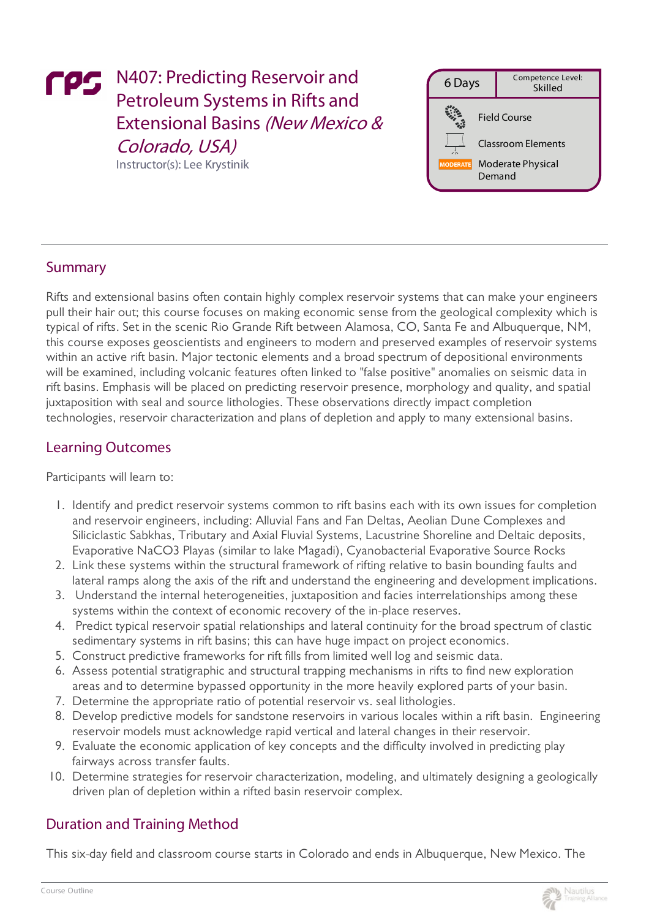# FPS N407: Predicting Reservoir and Petroleum Systems in Rifts and Extensional Basins (New Mexico & Colorado, USA) Instructor(s):Lee Krystinik

6 Days Competence Level: Skilled Field Course ClassroomElements Moderate Physical Demand

## Summary

Rifts and extensional basins often contain highly complex reservoir systems that can make your engineers pull their hair out; this course focuses on making economic sense from the geological complexity which is typical of rifts. Set in the scenic Rio Grande Rift between Alamosa, CO, Santa Fe and Albuquerque, NM, this course exposes geoscientists and engineers to modern and preserved examples of reservoir systems within an active rift basin. Major tectonic elements and a broad spectrum of depositional environments will be examined, including volcanic features often linked to "false positive" anomalies on seismic data in rift basins. Emphasis will be placed on predicting reservoir presence, morphology and quality, and spatial juxtaposition with seal and source lithologies. These observations directly impact completion technologies, reservoir characterization and plans of depletion and apply to many extensional basins.

### Learning Outcomes

Participants will learn to:

- 1. Identify and predict reservoir systems common to rift basins each with its own issues for completion and reservoir engineers, including: Alluvial Fans and Fan Deltas, Aeolian Dune Complexes and Siliciclastic Sabkhas, Tributary and Axial Fluvial Systems, Lacustrine Shoreline and Deltaic deposits, Evaporative NaCO3 Playas (similar to lake Magadi), Cyanobacterial Evaporative Source Rocks
- 2. Link these systems within the structural framework of rifting relative to basin bounding faults and lateral ramps along the axis of the rift and understand the engineering and development implications.
- 3. Understand the internal heterogeneities, juxtaposition and facies interrelationships among these systems within the context of economic recovery of the in-place reserves.
- 4. Predict typical reservoir spatial relationships and lateral continuity for the broad spectrum of clastic sedimentary systems in rift basins; this can have huge impact on project economics.
- 5. Construct predictive frameworks for rift fills from limited well log and seismic data.
- 6. Assess potential stratigraphic and structural trapping mechanisms in rifts to find new exploration areas and to determine bypassed opportunity in the more heavily explored parts of your basin.
- 7. Determine the appropriate ratio of potential reservoir vs. seal lithologies.
- 8. Develop predictive models for sandstone reservoirs in various locales within a rift basin. Engineering reservoir models must acknowledge rapid vertical and lateral changes in their reservoir.
- 9. Evaluate the economic application of key concepts and the difficulty involved in predicting play fairways across transfer faults.
- 10. Determine strategies for reservoir characterization, modeling, and ultimately designing a geologically driven plan of depletion within a rifted basin reservoir complex.

### Duration and Training Method

This six-day field and classroom course starts in Colorado and ends in Albuquerque, New Mexico. The



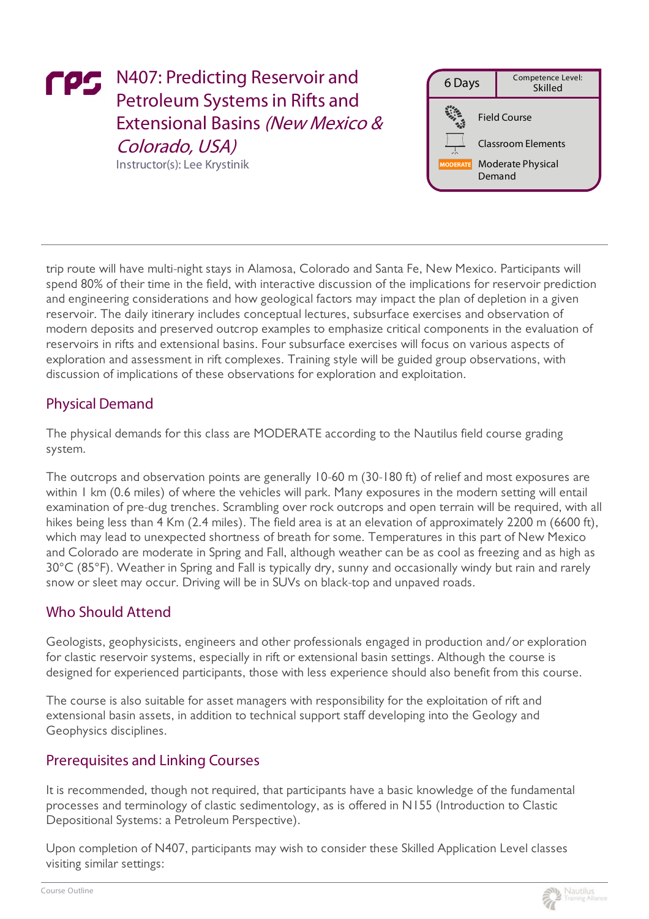# FPS N407: Predicting Reservoir and Petroleum Systems in Rifts and Extensional Basins (New Mexico & Colorado, USA) Instructor(s):Lee Krystinik

6 Days Competence Level: Skilled Field Course ClassroomElements Moderate Physical Demand

trip route will have multi-night stays in Alamosa, Colorado and Santa Fe, New Mexico. Participants will spend 80% of their time in the field, with interactive discussion of the implications for reservoir prediction and engineering considerations and how geological factors may impact the plan of depletion in a given reservoir. The daily itinerary includes conceptual lectures, subsurface exercises and observation of modern deposits and preserved outcrop examples to emphasize critical components in the evaluation of reservoirs in rifts and extensional basins. Four subsurface exercises will focus on various aspects of exploration and assessment in rift complexes. Training style will be guided group observations, with discussion of implications of these observations for exploration and exploitation.

## Physical Demand

The physical demands for this class are MODERATE according to the Nautilus field course grading system.

The outcrops and observation points are generally 10-60 m (30-180 ft) of relief and most exposures are within 1 km (0.6 miles) of where the vehicles will park. Many exposures in the modern setting will entail examination of pre-dug trenches. Scrambling over rock outcrops and open terrain will be required, with all hikes being less than 4 Km (2.4 miles). The field area is at an elevation of approximately 2200 m (6600 ft), which may lead to unexpected shortness of breath for some. Temperatures in this part of New Mexico and Colorado are moderate in Spring and Fall, although weather can be as cool as freezing and as high as 30°C (85°F). Weather in Spring and Fall is typically dry, sunny and occasionally windy but rain and rarely snow or sleet may occur. Driving will be in SUVs on black-top and unpaved roads.

## Who Should Attend

Geologists, geophysicists, engineers and other professionals engaged in production and/or exploration for clastic reservoir systems, especially in rift or extensional basin settings. Although the course is designed for experienced participants, those with less experience should also benefit from this course.

The course is also suitable for asset managers with responsibility for the exploitation of rift and extensional basin assets, in addition to technical support staff developing into the Geology and Geophysics disciplines.

## Prerequisites and Linking Courses

It is recommended, though not required, that participants have a basic knowledge of the fundamental processes and terminology of clastic sedimentology, as is offered in N155 (Introduction to Clastic Depositional Systems: a Petroleum Perspective).

Upon completion of N407, participants may wish to consider these Skilled Application Level classes visiting similar settings:

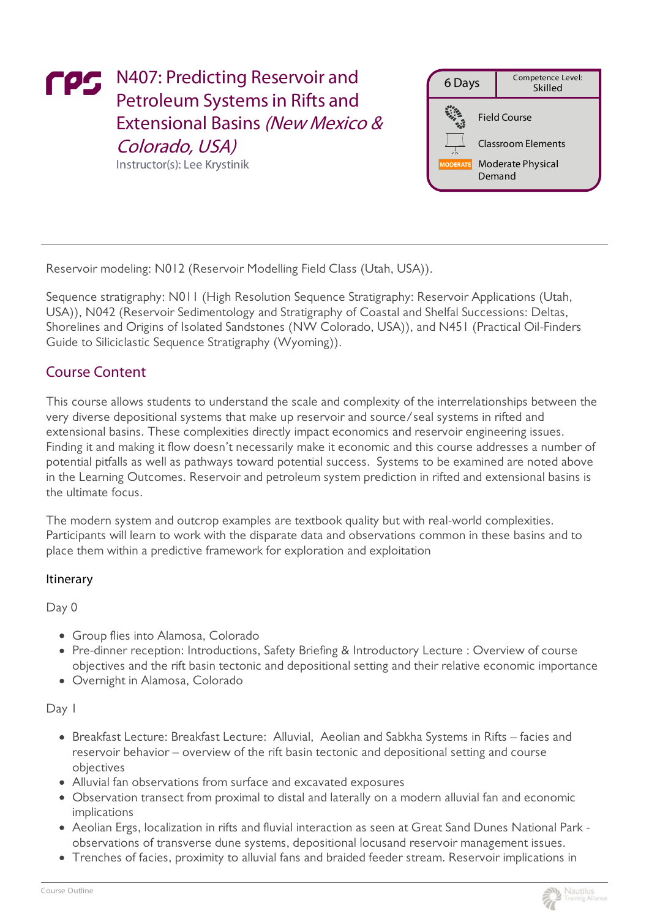# FPS N407: Predicting Reservoir and Petroleum Systems in Rifts and Extensional Basins (New Mexico & Colorado, USA) Instructor(s):Lee Krystinik

6 Days Competence Level: Skilled Field Course ClassroomElements Moderate Physical Demand

Reservoir modeling: N012 (Reservoir Modelling Field Class (Utah, USA)).

Sequence stratigraphy: N011 (High Resolution Sequence Stratigraphy: Reservoir Applications (Utah, USA)), N042 (Reservoir Sedimentology and Stratigraphy of Coastal and Shelfal Successions: Deltas, Shorelines and Origins of Isolated Sandstones (NW Colorado, USA)), and N451 (Practical Oil-Finders Guide to Siliciclastic Sequence Stratigraphy (Wyoming)).

### Course Content

This course allows students to understand the scale and complexity of the interrelationships between the very diverse depositional systems that make up reservoir and source/seal systems in rifted and extensional basins. These complexities directly impact economics and reservoir engineering issues. Finding it and making it flow doesn't necessarily make it economic and this course addresses a number of potential pitfalls as well as pathways toward potential success. Systems to be examined are noted above in the Learning Outcomes. Reservoir and petroleum system prediction in rifted and extensional basins is the ultimate focus.

The modern system and outcrop examples are textbook quality but with real-world complexities. Participants will learn to work with the disparate data and observations common in these basins and to place them within a predictive framework for exploration and exploitation

#### Itinerary

Day 0

- Group flies into Alamosa, Colorado
- Pre-dinner reception: Introductions, Safety Briefing & Introductory Lecture : Overview of course objectives and the rift basin tectonic and depositional setting and their relative economic importance
- Overnight in Alamosa, Colorado

Day 1

- Breakfast Lecture: Breakfast Lecture: Alluvial, Aeolian and Sabkha Systems in Rifts facies and reservoir behavior – overview of the rift basin tectonic and depositional setting and course objectives
- Alluvial fan observations from surface and excavated exposures
- Observation transect from proximal to distal and laterally on a modern alluvial fan and economic implications
- Aeolian Ergs, localization in rifts and fluvial interaction as seen at Great Sand Dunes National Park observations of transverse dune systems, depositional locusand reservoir management issues.
- Trenches of facies, proximity to alluvial fans and braided feeder stream. Reservoir implications in

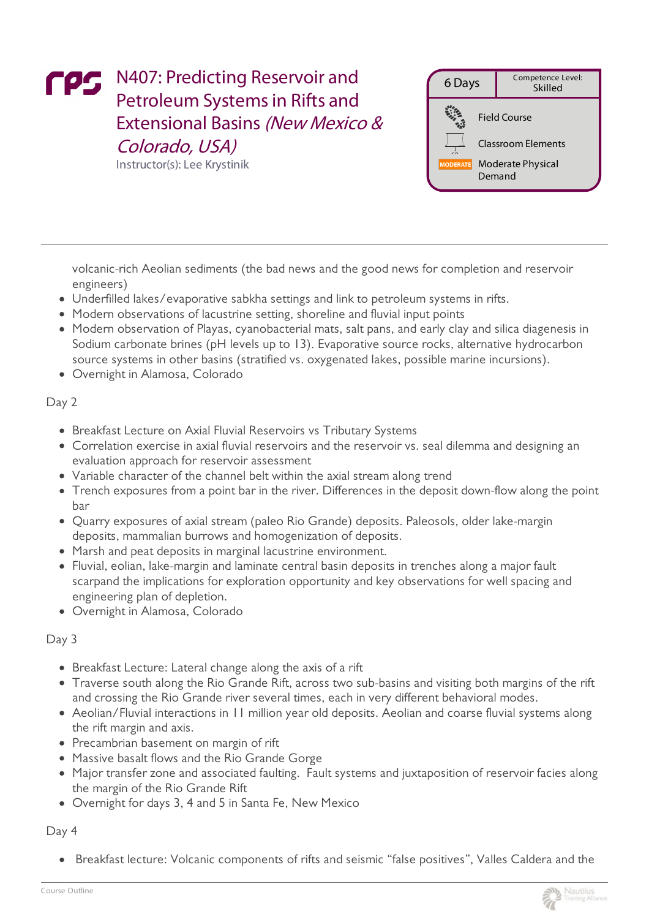# FPS N407: Predicting Reservoir and Petroleum Systems in Rifts and Extensional Basins (New Mexico & Colorado, USA)

Instructor(s):Lee Krystinik



volcanic-rich Aeolian sediments (the bad news and the good news for completion and reservoir engineers)

- Underfilled lakes/evaporative sabkha settings and link to petroleum systems in rifts.
- Modern observations of lacustrine setting, shoreline and fluvial input points
- Modern observation of Playas, cyanobacterial mats, salt pans, and early clay and silica diagenesis in Sodium carbonate brines (pH levels up to 13). Evaporative source rocks, alternative hydrocarbon source systems in other basins (stratified vs. oxygenated lakes, possible marine incursions).
- Overnight in Alamosa, Colorado

#### Day 2

- Breakfast Lecture on Axial Fluvial Reservoirs vs Tributary Systems
- Correlation exercise in axial fluvial reservoirs and the reservoir vs. seal dilemma and designing an evaluation approach for reservoir assessment
- Variable character of the channel belt within the axial stream along trend
- Trench exposures from a point bar in the river. Differences in the deposit down-flow along the point bar
- Quarry exposures of axial stream (paleo Rio Grande) deposits. Paleosols, older lake-margin deposits, mammalian burrows and homogenization of deposits.
- Marsh and peat deposits in marginal lacustrine environment.
- Fluvial, eolian, lake-margin and laminate central basin deposits in trenches along a major fault scarpand the implications for exploration opportunity and key observations for well spacing and engineering plan of depletion.
- Overnight in Alamosa, Colorado

#### Day 3

- Breakfast Lecture: Lateral change along the axis of a rift
- Traverse south along the Rio Grande Rift, across two sub-basins and visiting both margins of the rift and crossing the Rio Grande river several times, each in very different behavioral modes.
- Aeolian/Fluvial interactions in 11 million year old deposits. Aeolian and coarse fluvial systems along the rift margin and axis.
- Precambrian basement on margin of rift
- Massive basalt flows and the Rio Grande Gorge
- Major transfer zone and associated faulting. Fault systems and juxtaposition of reservoir facies along the margin of the Rio Grande Rift
- Overnight for days 3, 4 and 5 in Santa Fe, New Mexico

Day 4

Breakfast lecture: Volcanic components of rifts and seismic "false positives", Valles Caldera and the